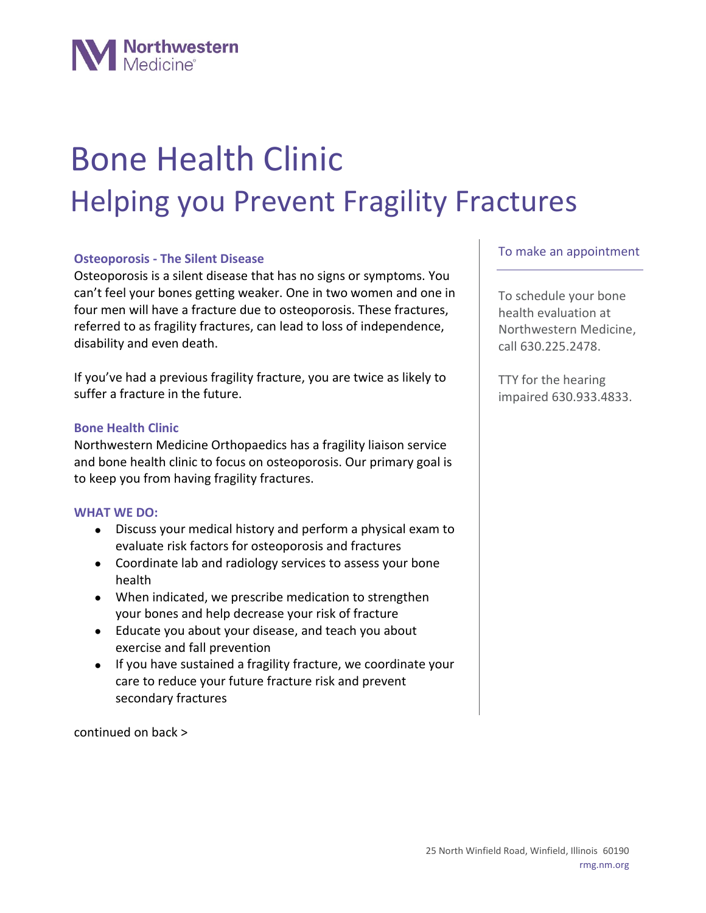

# Bone Health Clinic Helping you Prevent Fragility Fractures

# **Osteoporosis - The Silent Disease**

Osteoporosis is a silent disease that has no signs or symptoms. You can't feel your bones getting weaker. One in two women and one in four men will have a fracture due to osteoporosis. These fractures, referred to as fragility fractures, can lead to loss of independence, disability and even death.

If you've had a previous fragility fracture, you are twice as likely to suffer a fracture in the future.

#### **Bone Health Clinic**

Northwestern Medicine Orthopaedics has a fragility liaison service and bone health clinic to focus on osteoporosis. Our primary goal is to keep you from having fragility fractures.

#### **WHAT WE DO:**

- Discuss your medical history and perform a physical exam to evaluate risk factors for osteoporosis and fractures
- Coordinate lab and radiology services to assess your bone health
- When indicated, we prescribe medication to strengthen your bones and help decrease your risk of fracture
- Educate you about your disease, and teach you about exercise and fall prevention
- If you have sustained a fragility fracture, we coordinate your care to reduce your future fracture risk and prevent secondary fractures

continued on back >

# To make an appointment

To schedule your bone health evaluation at Northwestern Medicine, call 630.225.2478.

TTY for the hearing impaired 630.933.4833.